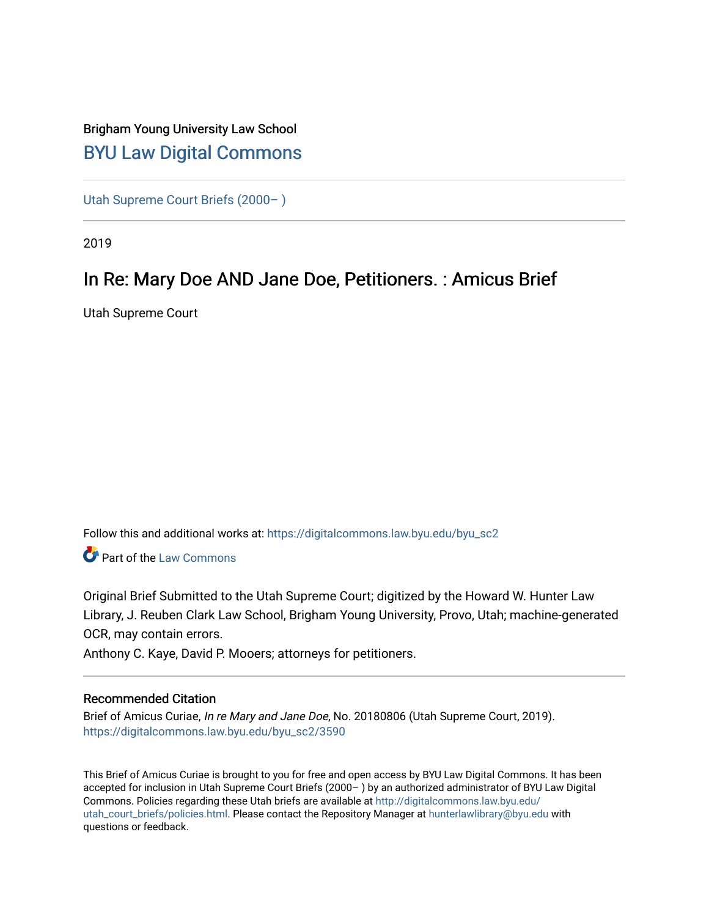# Brigham Young University Law School [BYU Law Digital Commons](https://digitalcommons.law.byu.edu/)

[Utah Supreme Court Briefs \(2000– \)](https://digitalcommons.law.byu.edu/byu_sc2)

2019

# In Re: Mary Doe AND Jane Doe, Petitioners. : Amicus Brief

Utah Supreme Court

Follow this and additional works at: [https://digitalcommons.law.byu.edu/byu\\_sc2](https://digitalcommons.law.byu.edu/byu_sc2?utm_source=digitalcommons.law.byu.edu%2Fbyu_sc2%2F3590&utm_medium=PDF&utm_campaign=PDFCoverPages) 

Part of the [Law Commons](https://network.bepress.com/hgg/discipline/578?utm_source=digitalcommons.law.byu.edu%2Fbyu_sc2%2F3590&utm_medium=PDF&utm_campaign=PDFCoverPages)

Original Brief Submitted to the Utah Supreme Court; digitized by the Howard W. Hunter Law Library, J. Reuben Clark Law School, Brigham Young University, Provo, Utah; machine-generated OCR, may contain errors.

Anthony C. Kaye, David P. Mooers; attorneys for petitioners.

#### Recommended Citation

Brief of Amicus Curiae, In re Mary and Jane Doe, No. 20180806 (Utah Supreme Court, 2019). [https://digitalcommons.law.byu.edu/byu\\_sc2/3590](https://digitalcommons.law.byu.edu/byu_sc2/3590?utm_source=digitalcommons.law.byu.edu%2Fbyu_sc2%2F3590&utm_medium=PDF&utm_campaign=PDFCoverPages)

This Brief of Amicus Curiae is brought to you for free and open access by BYU Law Digital Commons. It has been accepted for inclusion in Utah Supreme Court Briefs (2000– ) by an authorized administrator of BYU Law Digital Commons. Policies regarding these Utah briefs are available at [http://digitalcommons.law.byu.edu/](http://digitalcommons.law.byu.edu/utah_court_briefs/policies.html) [utah\\_court\\_briefs/policies.html.](http://digitalcommons.law.byu.edu/utah_court_briefs/policies.html) Please contact the Repository Manager at hunterlawlibrary@byu.edu with questions or feedback.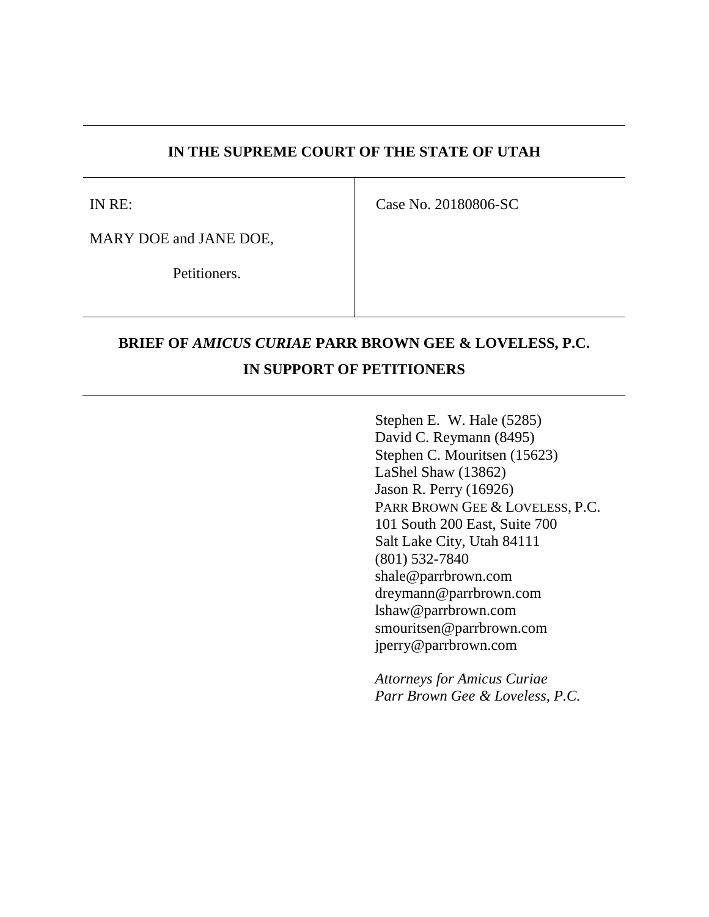### **IN THE SUPREME COURT OF THE STATE OF UTAH**

IN RE:

Case No. 20180806-SC

MARY DOE and JANE DOE,

Petitioners.

# **BRIEF OF** *AMICUS CURIAE* **PARR BROWN GEE & LOVELESS, P.C. IN SUPPORT OF PETITIONERS**

Stephen E. W. Hale (5285) David C. Reymann (8495) Stephen C. Mouritsen (15623) LaShel Shaw (13862) Jason R. Perry (16926) PARR BROWN GEE & LOVELESS, P.C. 101 South 200 East, Suite 700 Salt Lake City, Utah 84111 (801) 532-7840 shale@parrbrown.com dreymann@parrbrown.com lshaw@parrbrown.com smouritsen@parrbrown.com jperry@parrbrown.com

*Attorneys for Amicus Curiae Parr Brown Gee & Loveless, P.C.*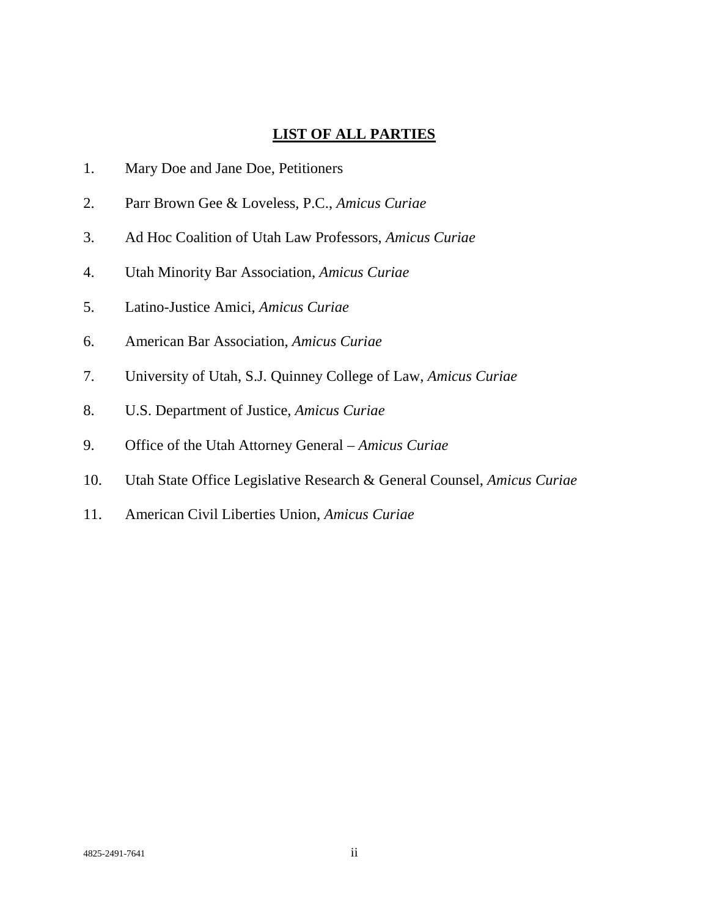## **LIST OF ALL PARTIES**

- 1. Mary Doe and Jane Doe, Petitioners
- 2. Parr Brown Gee & Loveless, P.C., *Amicus Curiae*
- 3. Ad Hoc Coalition of Utah Law Professors, *Amicus Curiae*
- 4. Utah Minority Bar Association, *Amicus Curiae*
- 5. Latino-Justice Amici, *Amicus Curiae*
- 6. American Bar Association, *Amicus Curiae*
- 7. University of Utah, S.J. Quinney College of Law, *Amicus Curiae*
- 8. U.S. Department of Justice, *Amicus Curiae*
- 9. Office of the Utah Attorney General *Amicus Curiae*
- 10. Utah State Office Legislative Research & General Counsel, *Amicus Curiae*
- 11. American Civil Liberties Union, *Amicus Curiae*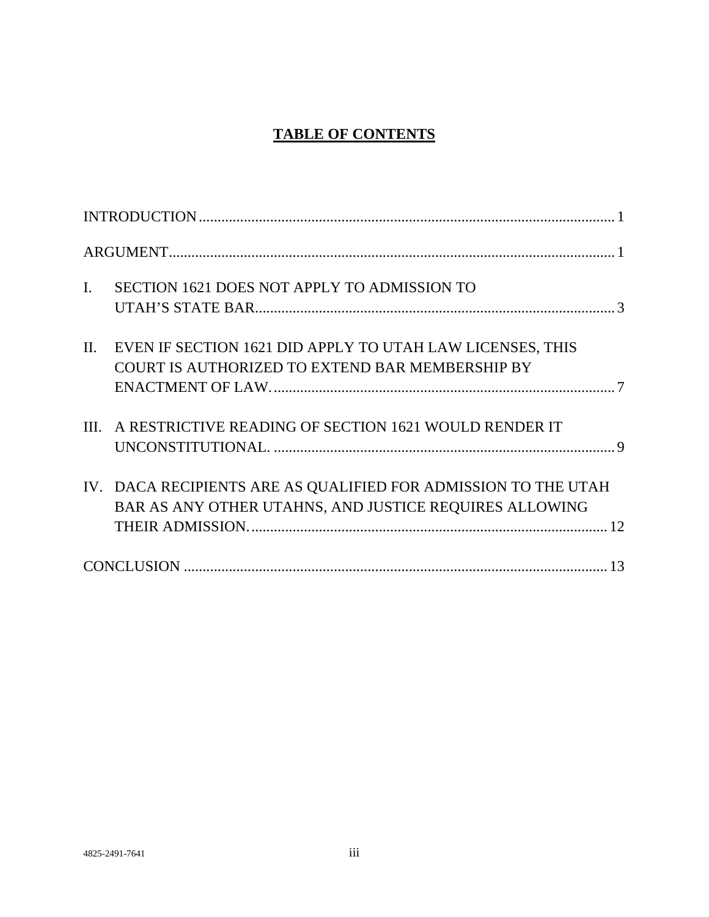## **TABLE OF CONTENTS**

| SECTION 1621 DOES NOT APPLY TO ADMISSION TO<br>$\mathbf{I}$ .                                                            |  |
|--------------------------------------------------------------------------------------------------------------------------|--|
| EVEN IF SECTION 1621 DID APPLY TO UTAH LAW LICENSES, THIS<br>$\Pi$ .<br>COURT IS AUTHORIZED TO EXTEND BAR MEMBERSHIP BY  |  |
| A RESTRICTIVE READING OF SECTION 1621 WOULD RENDER IT<br>III.                                                            |  |
| IV. DACA RECIPIENTS ARE AS QUALIFIED FOR ADMISSION TO THE UTAH<br>BAR AS ANY OTHER UTAHNS, AND JUSTICE REQUIRES ALLOWING |  |
|                                                                                                                          |  |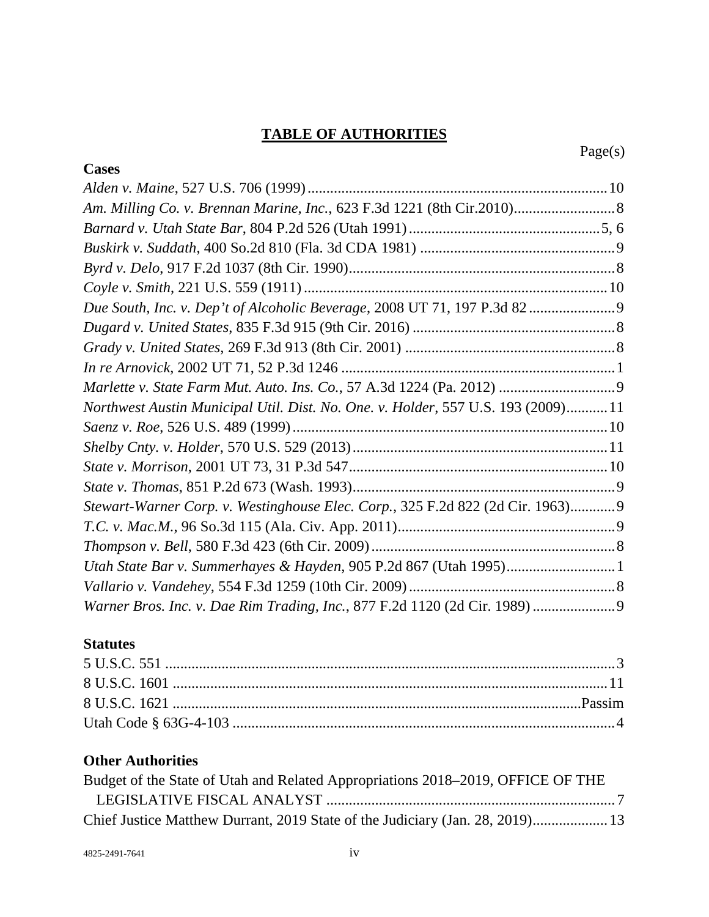## **TABLE OF AUTHORITIES**

| <b>Cases</b>                                                                      |  |
|-----------------------------------------------------------------------------------|--|
|                                                                                   |  |
|                                                                                   |  |
|                                                                                   |  |
|                                                                                   |  |
|                                                                                   |  |
|                                                                                   |  |
|                                                                                   |  |
|                                                                                   |  |
|                                                                                   |  |
|                                                                                   |  |
|                                                                                   |  |
| Northwest Austin Municipal Util. Dist. No. One. v. Holder, 557 U.S. 193 (2009) 11 |  |
|                                                                                   |  |
|                                                                                   |  |
|                                                                                   |  |
|                                                                                   |  |
| Stewart-Warner Corp. v. Westinghouse Elec. Corp., 325 F.2d 822 (2d Cir. 1963)9    |  |
|                                                                                   |  |
|                                                                                   |  |
|                                                                                   |  |
|                                                                                   |  |
| Warner Bros. Inc. v. Dae Rim Trading, Inc., 877 F.2d 1120 (2d Cir. 1989) 9        |  |

## **Statutes**

## **Other Authorities**

| Budget of the State of Utah and Related Appropriations 2018–2019, OFFICE OF THE |  |
|---------------------------------------------------------------------------------|--|
|                                                                                 |  |
| Chief Justice Matthew Durrant, 2019 State of the Judiciary (Jan. 28, 2019) 13   |  |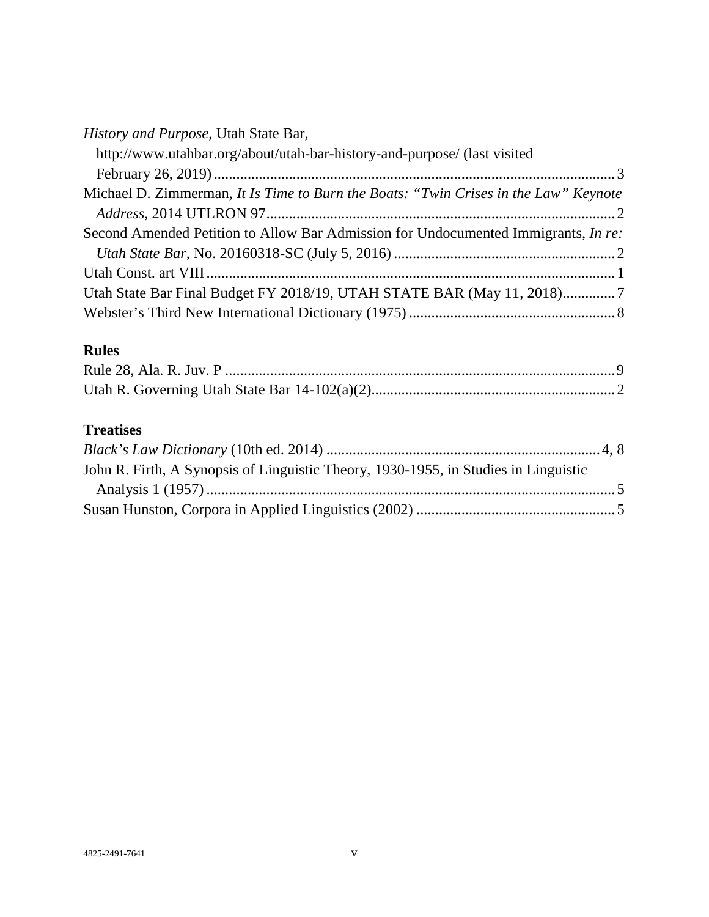| History and Purpose, Utah State Bar, |  |
|--------------------------------------|--|
|--------------------------------------|--|

| http://www.utahbar.org/about/utah-bar-history-and-purpose/ (last visited             |  |
|--------------------------------------------------------------------------------------|--|
|                                                                                      |  |
| Michael D. Zimmerman, It Is Time to Burn the Boats: "Twin Crises in the Law" Keynote |  |
|                                                                                      |  |
| Second Amended Petition to Allow Bar Admission for Undocumented Immigrants, In re:   |  |
|                                                                                      |  |
|                                                                                      |  |
|                                                                                      |  |
|                                                                                      |  |

## **Rules**

## **Treatises**

| John R. Firth, A Synopsis of Linguistic Theory, 1930-1955, in Studies in Linguistic |  |
|-------------------------------------------------------------------------------------|--|
|                                                                                     |  |
|                                                                                     |  |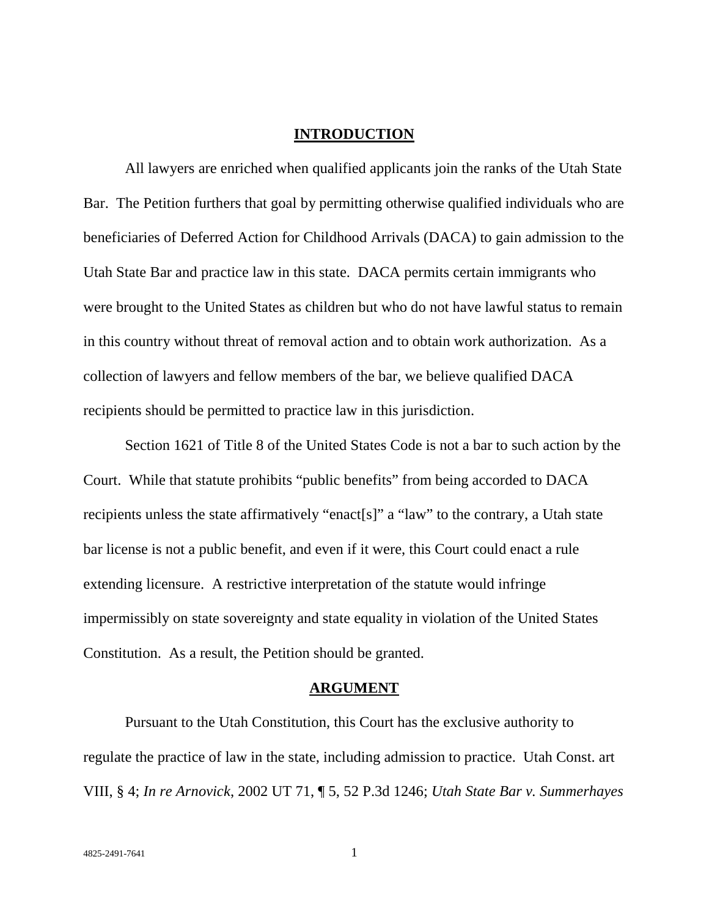#### **INTRODUCTION**

All lawyers are enriched when qualified applicants join the ranks of the Utah State Bar. The Petition furthers that goal by permitting otherwise qualified individuals who are beneficiaries of Deferred Action for Childhood Arrivals (DACA) to gain admission to the Utah State Bar and practice law in this state. DACA permits certain immigrants who were brought to the United States as children but who do not have lawful status to remain in this country without threat of removal action and to obtain work authorization. As a collection of lawyers and fellow members of the bar, we believe qualified DACA recipients should be permitted to practice law in this jurisdiction.

Section 1621 of Title 8 of the United States Code is not a bar to such action by the Court. While that statute prohibits "public benefits" from being accorded to DACA recipients unless the state affirmatively "enact[s]" a "law" to the contrary, a Utah state bar license is not a public benefit, and even if it were, this Court could enact a rule extending licensure. A restrictive interpretation of the statute would infringe impermissibly on state sovereignty and state equality in violation of the United States Constitution. As a result, the Petition should be granted.

#### **ARGUMENT**

Pursuant to the Utah Constitution, this Court has the exclusive authority to regulate the practice of law in the state, including admission to practice. Utah Const. art VIII, § 4; *In re Arnovick*, 2002 UT 71, ¶ 5, 52 P.3d 1246; *Utah State Bar v. Summerhayes*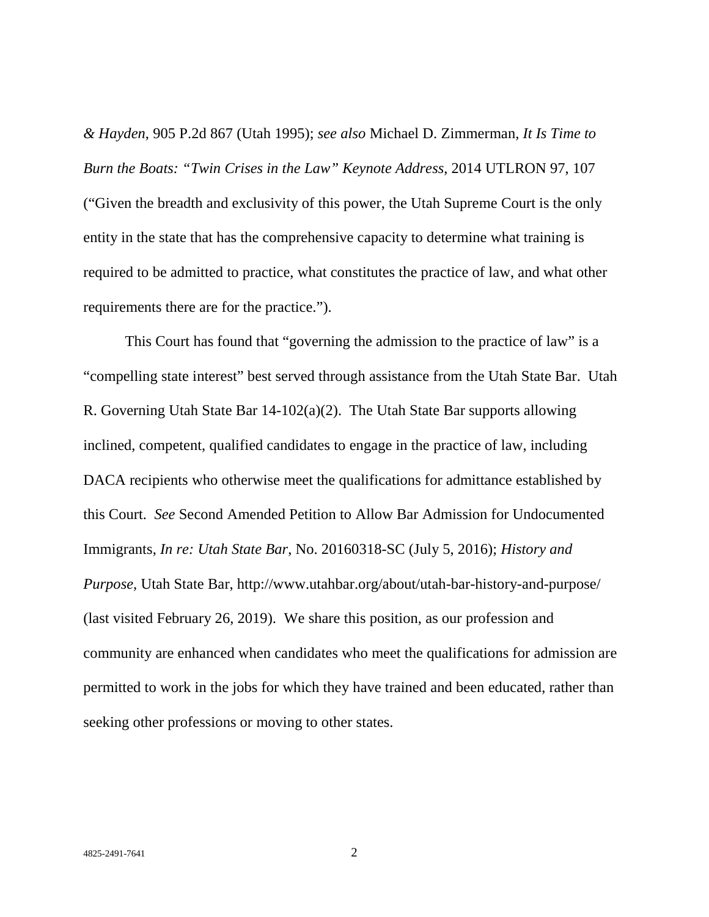*& Hayden*, 905 P.2d 867 (Utah 1995); *see also* Michael D. Zimmerman*, It Is Time to Burn the Boats: "Twin Crises in the Law" Keynote Address*, 2014 UTLRON 97, 107 ("Given the breadth and exclusivity of this power, the Utah Supreme Court is the only entity in the state that has the comprehensive capacity to determine what training is required to be admitted to practice, what constitutes the practice of law, and what other requirements there are for the practice.").

This Court has found that "governing the admission to the practice of law" is a "compelling state interest" best served through assistance from the Utah State Bar. Utah R. Governing Utah State Bar 14-102(a)(2). The Utah State Bar supports allowing inclined, competent, qualified candidates to engage in the practice of law, including DACA recipients who otherwise meet the qualifications for admittance established by this Court. *See* Second Amended Petition to Allow Bar Admission for Undocumented Immigrants, *In re: Utah State Bar*, No. 20160318-SC (July 5, 2016); *History and Purpose*, Utah State Bar, http://www.utahbar.org/about/utah-bar-history-and-purpose/ (last visited February 26, 2019). We share this position, as our profession and community are enhanced when candidates who meet the qualifications for admission are permitted to work in the jobs for which they have trained and been educated, rather than seeking other professions or moving to other states.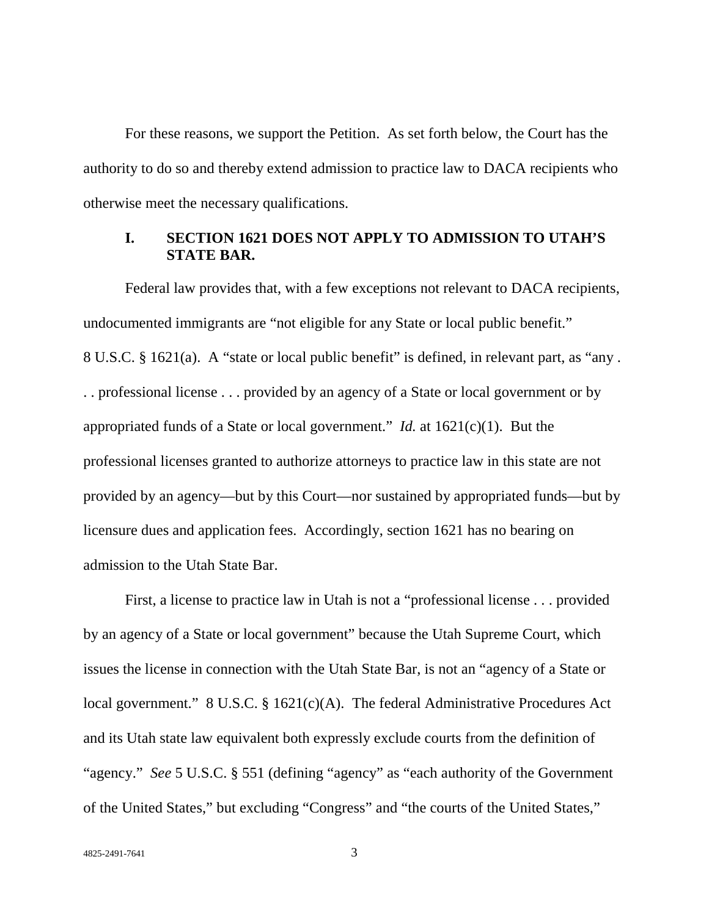For these reasons, we support the Petition. As set forth below, the Court has the authority to do so and thereby extend admission to practice law to DACA recipients who otherwise meet the necessary qualifications.

## **I. SECTION 1621 DOES NOT APPLY TO ADMISSION TO UTAH'S STATE BAR.**

Federal law provides that, with a few exceptions not relevant to DACA recipients, undocumented immigrants are "not eligible for any State or local public benefit." 8 U.S.C. § 1621(a). A "state or local public benefit" is defined, in relevant part, as "any . . . professional license . . . provided by an agency of a State or local government or by appropriated funds of a State or local government." *Id.* at 1621(c)(1). But the professional licenses granted to authorize attorneys to practice law in this state are not provided by an agency—but by this Court—nor sustained by appropriated funds—but by licensure dues and application fees. Accordingly, section 1621 has no bearing on admission to the Utah State Bar.

First, a license to practice law in Utah is not a "professional license . . . provided by an agency of a State or local government" because the Utah Supreme Court, which issues the license in connection with the Utah State Bar, is not an "agency of a State or local government." 8 U.S.C. § 1621(c)(A). The federal Administrative Procedures Act and its Utah state law equivalent both expressly exclude courts from the definition of "agency." *See* 5 U.S.C. § 551 (defining "agency" as "each authority of the Government of the United States," but excluding "Congress" and "the courts of the United States,"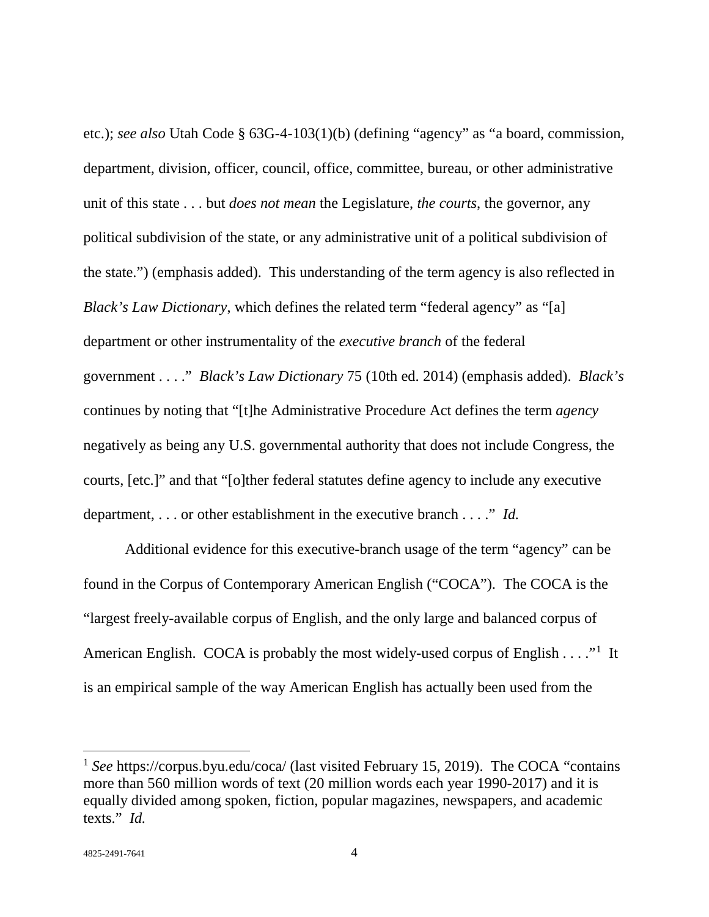etc.); *see also* Utah Code § 63G-4-103(1)(b) (defining "agency" as "a board, commission, department, division, officer, council, office, committee, bureau, or other administrative unit of this state . . . but *does not mean* the Legislature, *the courts*, the governor, any political subdivision of the state, or any administrative unit of a political subdivision of the state.") (emphasis added). This understanding of the term agency is also reflected in *Black's Law Dictionary*, which defines the related term "federal agency" as "[a] department or other instrumentality of the *executive branch* of the federal government . . . ." *Black's Law Dictionary* 75 (10th ed. 2014) (emphasis added). *Black's*  continues by noting that "[t]he Administrative Procedure Act defines the term *agency* negatively as being any U.S. governmental authority that does not include Congress, the courts, [etc.]" and that "[o]ther federal statutes define agency to include any executive department, . . . or other establishment in the executive branch . . . ." *Id.*

Additional evidence for this executive-branch usage of the term "agency" can be found in the Corpus of Contemporary American English ("COCA"). The COCA is the "largest freely-available corpus of English, and the only large and balanced corpus of American English. COCA is probably the most widely-used corpus of English  $\dots$ ."<sup>1</sup> It is an empirical sample of the way American English has actually been used from the

l

<sup>&</sup>lt;sup>1</sup> *See* https://corpus.byu.edu/coca/ (last visited February 15, 2019). The COCA "contains" more than 560 million words of text (20 million words each year 1990-2017) and it is equally divided among spoken, fiction, popular magazines, newspapers, and academic texts." *Id.*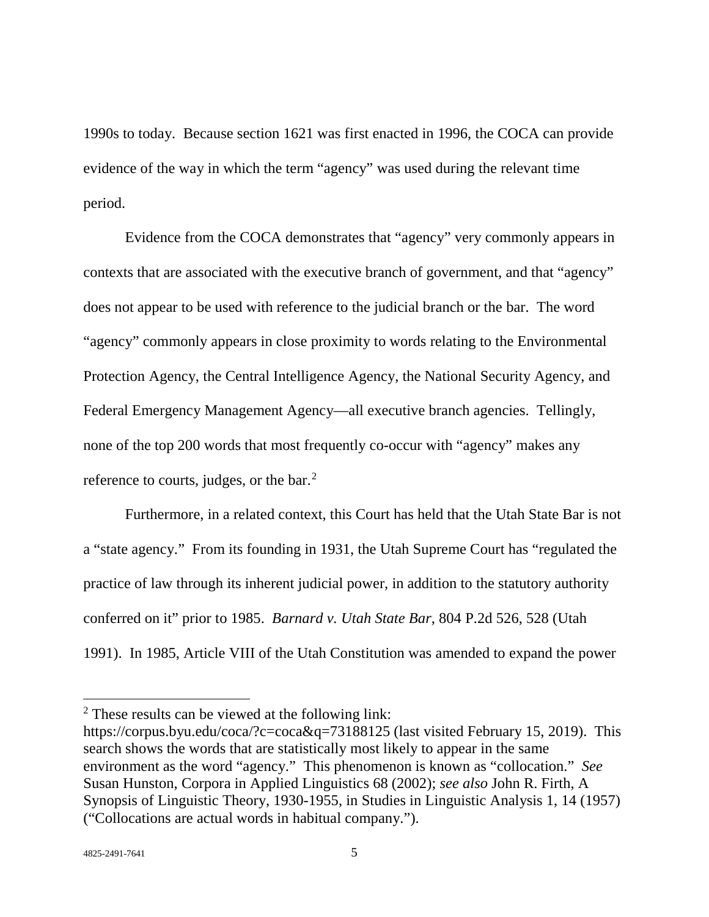1990s to today. Because section 1621 was first enacted in 1996, the COCA can provide evidence of the way in which the term "agency" was used during the relevant time period.

Evidence from the COCA demonstrates that "agency" very commonly appears in contexts that are associated with the executive branch of government, and that "agency" does not appear to be used with reference to the judicial branch or the bar. The word "agency" commonly appears in close proximity to words relating to the Environmental Protection Agency, the Central Intelligence Agency, the National Security Agency, and Federal Emergency Management Agency—all executive branch agencies. Tellingly, none of the top 200 words that most frequently co-occur with "agency" makes any reference to courts, judges, or the bar.<sup>2</sup>

Furthermore, in a related context, this Court has held that the Utah State Bar is not a "state agency." From its founding in 1931, the Utah Supreme Court has "regulated the practice of law through its inherent judicial power, in addition to the statutory authority conferred on it" prior to 1985. *Barnard v. Utah State Bar*, 804 P.2d 526, 528 (Utah 1991). In 1985, Article VIII of the Utah Constitution was amended to expand the power

 $\overline{\phantom{a}}$ 

<sup>2</sup> These results can be viewed at the following link:

https://corpus.byu.edu/coca/?c=coca&q=73188125 (last visited February 15, 2019). This search shows the words that are statistically most likely to appear in the same environment as the word "agency." This phenomenon is known as "collocation." *See*  Susan Hunston, Corpora in Applied Linguistics 68 (2002); *see also* John R. Firth, A Synopsis of Linguistic Theory, 1930-1955, in Studies in Linguistic Analysis 1, 14 (1957) ("Collocations are actual words in habitual company.").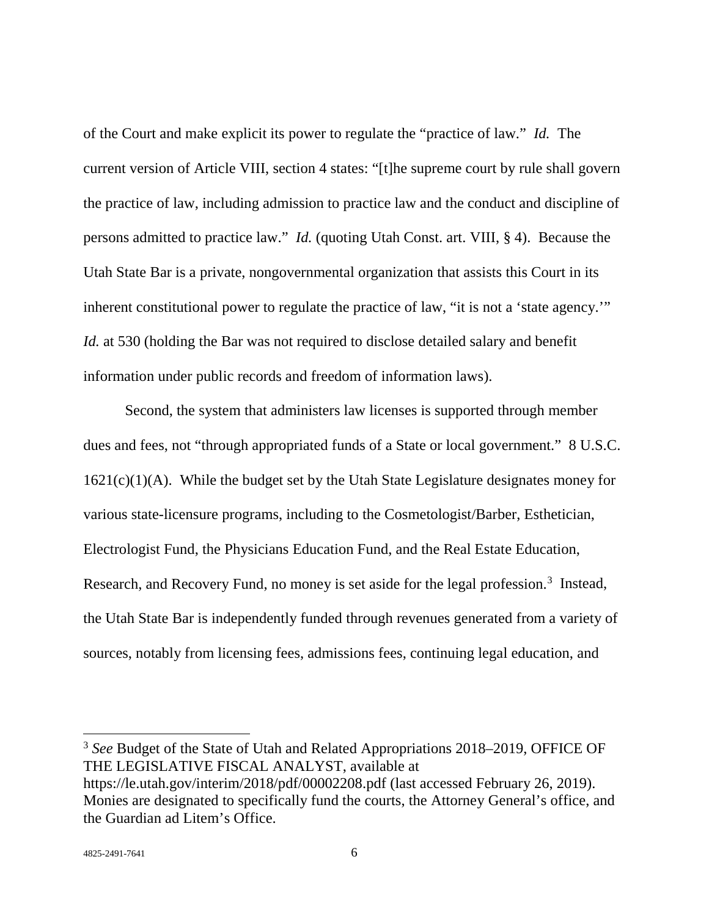of the Court and make explicit its power to regulate the "practice of law." *Id.* The current version of Article VIII, section 4 states: "[t]he supreme court by rule shall govern the practice of law, including admission to practice law and the conduct and discipline of persons admitted to practice law." *Id.* (quoting Utah Const. art. VIII, § 4). Because the Utah State Bar is a private, nongovernmental organization that assists this Court in its inherent constitutional power to regulate the practice of law, "it is not a 'state agency.'" *Id.* at 530 (holding the Bar was not required to disclose detailed salary and benefit information under public records and freedom of information laws).

Second, the system that administers law licenses is supported through member dues and fees, not "through appropriated funds of a State or local government." 8 U.S.C.  $1621(c)(1)(A)$ . While the budget set by the Utah State Legislature designates money for various state-licensure programs, including to the Cosmetologist/Barber, Esthetician, Electrologist Fund, the Physicians Education Fund, and the Real Estate Education, Research, and Recovery Fund, no money is set aside for the legal profession.<sup>3</sup> Instead, the Utah State Bar is independently funded through revenues generated from a variety of sources, notably from licensing fees, admissions fees, continuing legal education, and

<sup>3</sup> *See* Budget of the State of Utah and Related Appropriations 2018–2019, OFFICE OF THE LEGISLATIVE FISCAL ANALYST, available at https://le.utah.gov/interim/2018/pdf/00002208.pdf (last accessed February 26, 2019). Monies are designated to specifically fund the courts, the Attorney General's office, and the Guardian ad Litem's Office.

l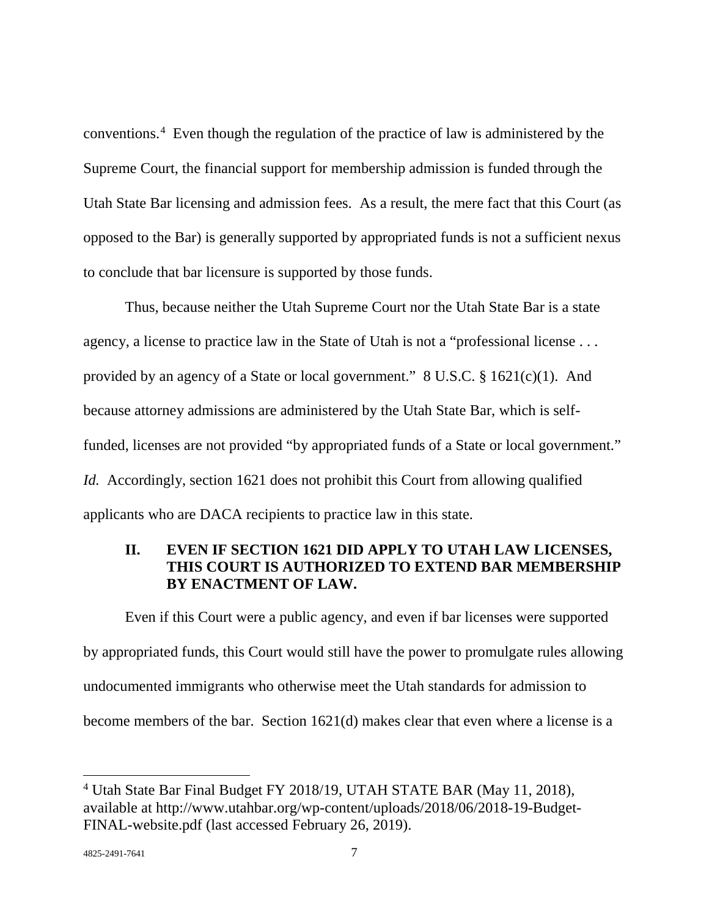conventions.4 Even though the regulation of the practice of law is administered by the Supreme Court, the financial support for membership admission is funded through the Utah State Bar licensing and admission fees. As a result, the mere fact that this Court (as opposed to the Bar) is generally supported by appropriated funds is not a sufficient nexus to conclude that bar licensure is supported by those funds.

Thus, because neither the Utah Supreme Court nor the Utah State Bar is a state agency, a license to practice law in the State of Utah is not a "professional license . . . provided by an agency of a State or local government." 8 U.S.C. § 1621(c)(1). And because attorney admissions are administered by the Utah State Bar, which is selffunded, licenses are not provided "by appropriated funds of a State or local government." *Id.* Accordingly, section 1621 does not prohibit this Court from allowing qualified applicants who are DACA recipients to practice law in this state.

## **II. EVEN IF SECTION 1621 DID APPLY TO UTAH LAW LICENSES, THIS COURT IS AUTHORIZED TO EXTEND BAR MEMBERSHIP BY ENACTMENT OF LAW.**

Even if this Court were a public agency, and even if bar licenses were supported by appropriated funds, this Court would still have the power to promulgate rules allowing undocumented immigrants who otherwise meet the Utah standards for admission to become members of the bar. Section 1621(d) makes clear that even where a license is a

<sup>4</sup> Utah State Bar Final Budget FY 2018/19, UTAH STATE BAR (May 11, 2018), available at http://www.utahbar.org/wp-content/uploads/2018/06/2018-19-Budget-FINAL-website.pdf (last accessed February 26, 2019).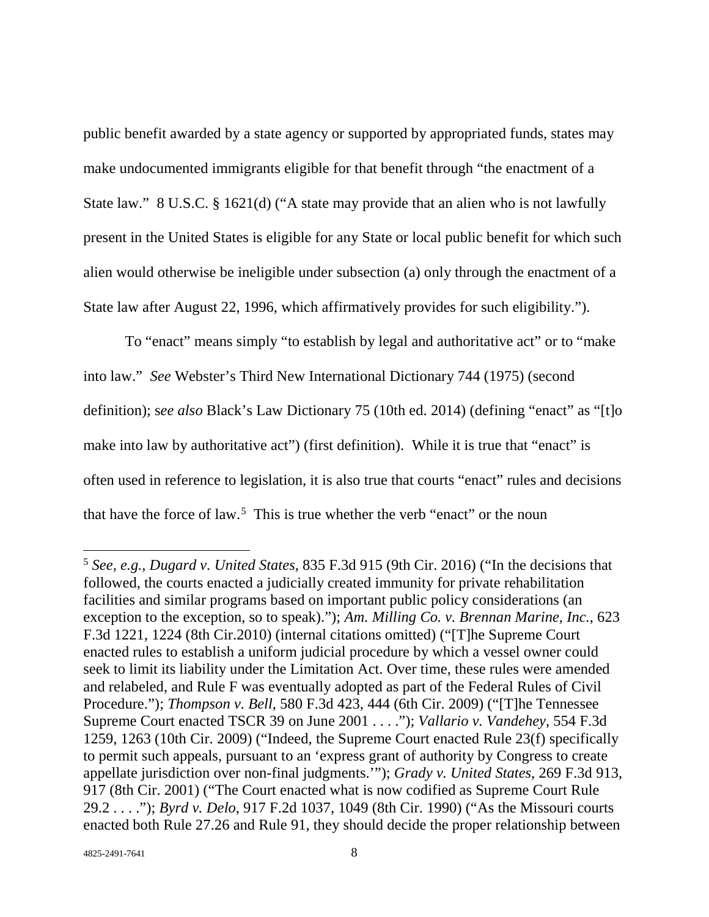public benefit awarded by a state agency or supported by appropriated funds, states may make undocumented immigrants eligible for that benefit through "the enactment of a State law." 8 U.S.C. § 1621(d) ("A state may provide that an alien who is not lawfully present in the United States is eligible for any State or local public benefit for which such alien would otherwise be ineligible under subsection (a) only through the enactment of a State law after August 22, 1996, which affirmatively provides for such eligibility.").

To "enact" means simply "to establish by legal and authoritative act" or to "make into law." *See* Webster's Third New International Dictionary 744 (1975) (second definition); s*ee also* Black's Law Dictionary 75 (10th ed. 2014) (defining "enact" as "[t]o make into law by authoritative act") (first definition). While it is true that "enact" is often used in reference to legislation, it is also true that courts "enact" rules and decisions that have the force of law.<sup>5</sup> This is true whether the verb "enact" or the noun

<sup>5</sup> *See, e.g., Dugard v. United States*, 835 F.3d 915 (9th Cir. 2016) ("In the decisions that followed, the courts enacted a judicially created immunity for private rehabilitation facilities and similar programs based on important public policy considerations (an exception to the exception, so to speak)."); *Am. Milling Co. v. Brennan Marine, Inc.*, 623 F.3d 1221, 1224 (8th Cir.2010) (internal citations omitted) ("[T]he Supreme Court enacted rules to establish a uniform judicial procedure by which a vessel owner could seek to limit its liability under the Limitation Act. Over time, these rules were amended and relabeled, and Rule F was eventually adopted as part of the Federal Rules of Civil Procedure."); *Thompson v. Bell*, 580 F.3d 423, 444 (6th Cir. 2009) ("[T]he Tennessee Supreme Court enacted TSCR 39 on June 2001 . . . ."); *Vallario v. Vandehey*, 554 F.3d 1259, 1263 (10th Cir. 2009) ("Indeed, the Supreme Court enacted Rule 23(f) specifically to permit such appeals, pursuant to an 'express grant of authority by Congress to create appellate jurisdiction over non-final judgments.'"); *Grady v. United States*, 269 F.3d 913, 917 (8th Cir. 2001) ("The Court enacted what is now codified as Supreme Court Rule 29.2 . . . ."); *Byrd v. Delo*, 917 F.2d 1037, 1049 (8th Cir. 1990) ("As the Missouri courts enacted both Rule 27.26 and Rule 91, they should decide the proper relationship between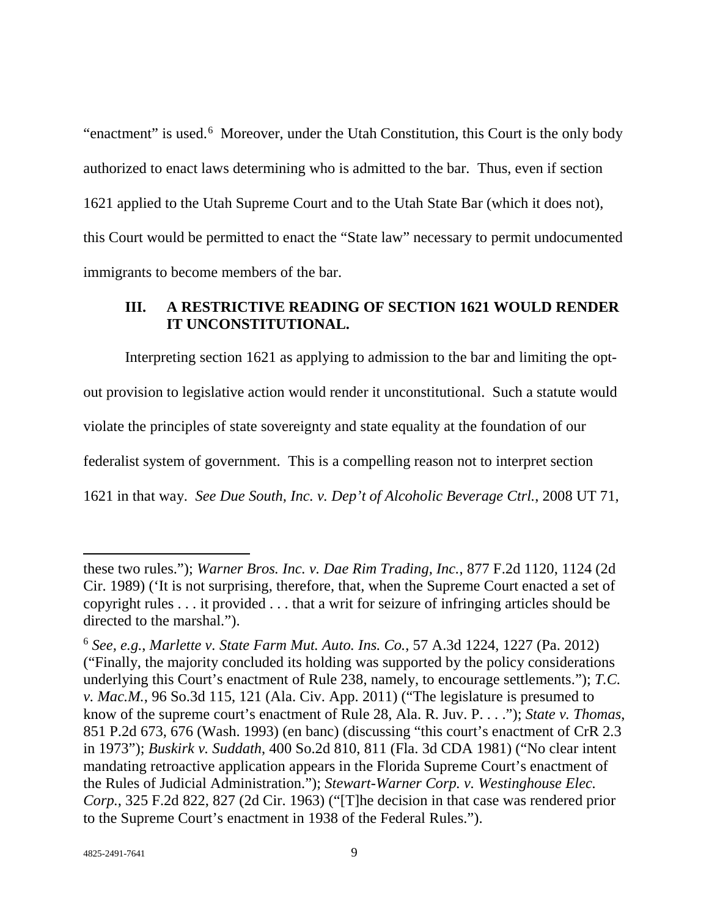"enactment" is used.<sup>6</sup> Moreover, under the Utah Constitution, this Court is the only body authorized to enact laws determining who is admitted to the bar. Thus, even if section 1621 applied to the Utah Supreme Court and to the Utah State Bar (which it does not), this Court would be permitted to enact the "State law" necessary to permit undocumented immigrants to become members of the bar.

### **III. A RESTRICTIVE READING OF SECTION 1621 WOULD RENDER IT UNCONSTITUTIONAL.**

Interpreting section 1621 as applying to admission to the bar and limiting the optout provision to legislative action would render it unconstitutional. Such a statute would violate the principles of state sovereignty and state equality at the foundation of our federalist system of government. This is a compelling reason not to interpret section 1621 in that way. *See Due South, Inc. v. Dep't of Alcoholic Beverage Ctrl.*, 2008 UT 71,

these two rules."); *Warner Bros. Inc. v. Dae Rim Trading, Inc.*, 877 F.2d 1120, 1124 (2d Cir. 1989) ('It is not surprising, therefore, that, when the Supreme Court enacted a set of copyright rules . . . it provided . . . that a writ for seizure of infringing articles should be directed to the marshal.").

<sup>6</sup> *See, e.g.*, *Marlette v. State Farm Mut. Auto. Ins. Co.*, 57 A.3d 1224, 1227 (Pa. 2012) ("Finally, the majority concluded its holding was supported by the policy considerations underlying this Court's enactment of Rule 238, namely, to encourage settlements."); *T.C. v. Mac.M.*, 96 So.3d 115, 121 (Ala. Civ. App. 2011) ("The legislature is presumed to know of the supreme court's enactment of Rule 28, Ala. R. Juv. P. . . ."); *State v. Thomas*, 851 P.2d 673, 676 (Wash. 1993) (en banc) (discussing "this court's enactment of CrR 2.3 in 1973"); *Buskirk v. Suddath*, 400 So.2d 810, 811 (Fla. 3d CDA 1981) ("No clear intent mandating retroactive application appears in the Florida Supreme Court's enactment of the Rules of Judicial Administration."); *Stewart-Warner Corp. v. Westinghouse Elec. Corp.*, 325 F.2d 822, 827 (2d Cir. 1963) ("[T]he decision in that case was rendered prior to the Supreme Court's enactment in 1938 of the Federal Rules.").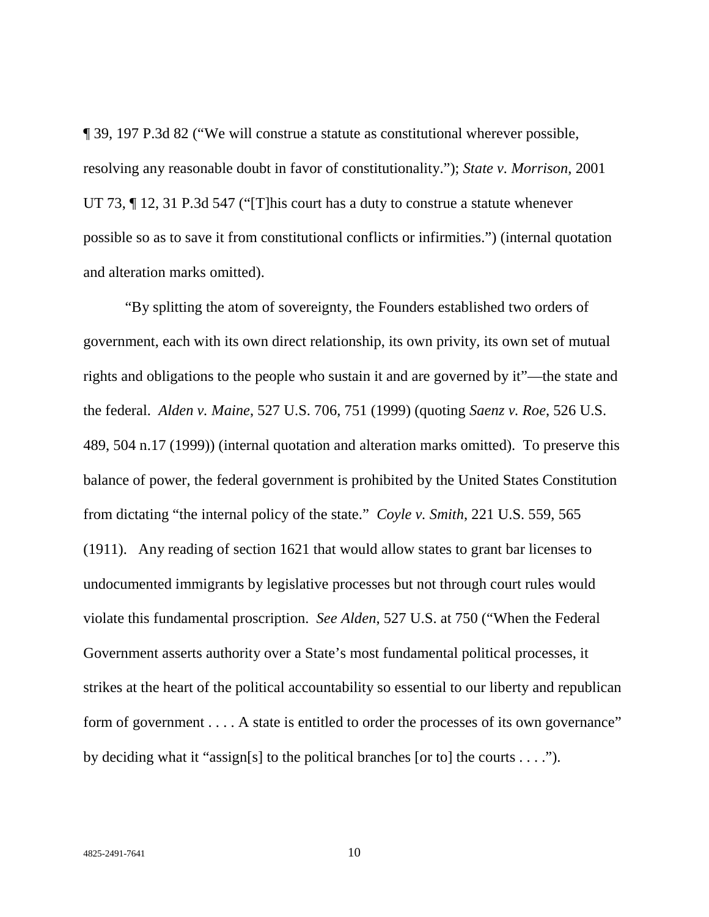¶ 39, 197 P.3d 82 ("We will construe a statute as constitutional wherever possible, resolving any reasonable doubt in favor of constitutionality."); *State v. Morrison*, 2001 UT 73, ¶ 12, 31 P.3d 547 ("[T]his court has a duty to construe a statute whenever possible so as to save it from constitutional conflicts or infirmities.") (internal quotation and alteration marks omitted).

"By splitting the atom of sovereignty, the Founders established two orders of government, each with its own direct relationship, its own privity, its own set of mutual rights and obligations to the people who sustain it and are governed by it"—the state and the federal. *Alden v. Maine*, 527 U.S. 706, 751 (1999) (quoting *Saenz v. Roe*, 526 U.S. 489, 504 n.17 (1999)) (internal quotation and alteration marks omitted). To preserve this balance of power, the federal government is prohibited by the United States Constitution from dictating "the internal policy of the state." *Coyle v. Smith*, 221 U.S. 559, 565 (1911). Any reading of section 1621 that would allow states to grant bar licenses to undocumented immigrants by legislative processes but not through court rules would violate this fundamental proscription. *See Alden*, 527 U.S. at 750 ("When the Federal Government asserts authority over a State's most fundamental political processes, it strikes at the heart of the political accountability so essential to our liberty and republican form of government . . . . A state is entitled to order the processes of its own governance" by deciding what it "assign[s] to the political branches [or to] the courts  $\dots$  .").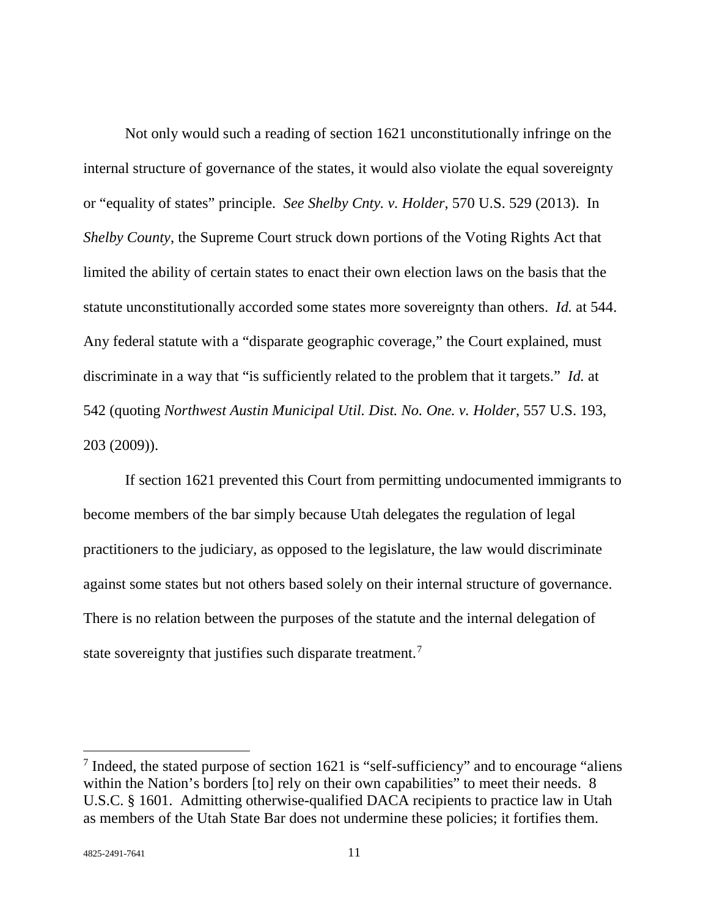Not only would such a reading of section 1621 unconstitutionally infringe on the internal structure of governance of the states, it would also violate the equal sovereignty or "equality of states" principle. *See Shelby Cnty. v. Holder*, 570 U.S. 529 (2013). In *Shelby County*, the Supreme Court struck down portions of the Voting Rights Act that limited the ability of certain states to enact their own election laws on the basis that the statute unconstitutionally accorded some states more sovereignty than others. *Id.* at 544. Any federal statute with a "disparate geographic coverage," the Court explained, must discriminate in a way that "is sufficiently related to the problem that it targets." *Id.* at 542 (quoting *Northwest Austin Municipal Util. Dist. No. One. v. Holder*, 557 U.S. 193, 203 (2009)).

If section 1621 prevented this Court from permitting undocumented immigrants to become members of the bar simply because Utah delegates the regulation of legal practitioners to the judiciary, as opposed to the legislature, the law would discriminate against some states but not others based solely on their internal structure of governance. There is no relation between the purposes of the statute and the internal delegation of state sovereignty that justifies such disparate treatment.<sup>7</sup>

l

<sup>7</sup> Indeed, the stated purpose of section 1621 is "self-sufficiency" and to encourage "aliens within the Nation's borders [to] rely on their own capabilities" to meet their needs. 8 U.S.C. § 1601. Admitting otherwise-qualified DACA recipients to practice law in Utah as members of the Utah State Bar does not undermine these policies; it fortifies them.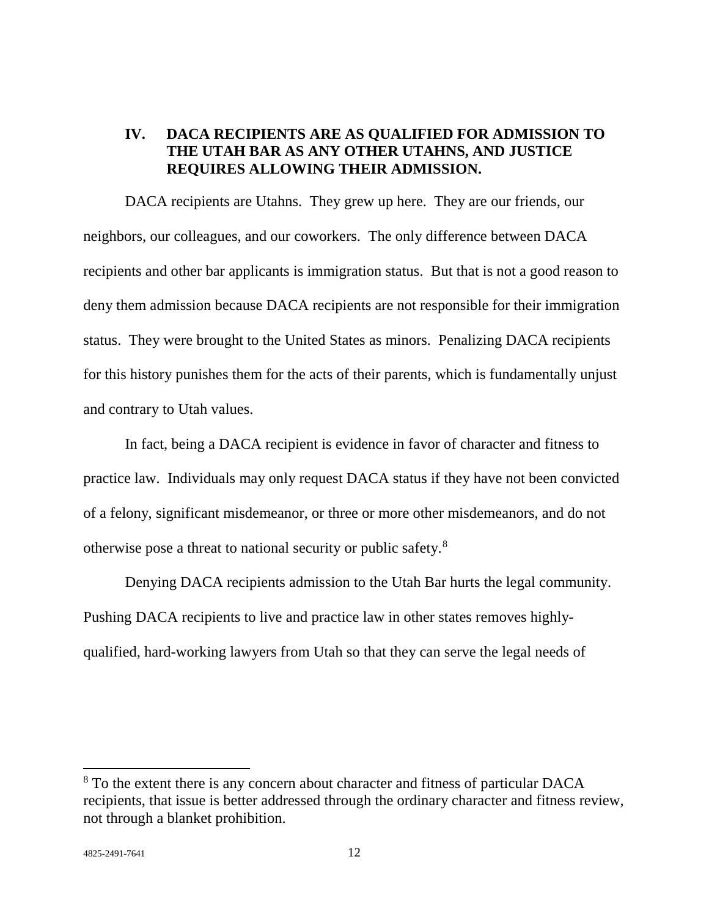## **IV. DACA RECIPIENTS ARE AS QUALIFIED FOR ADMISSION TO THE UTAH BAR AS ANY OTHER UTAHNS, AND JUSTICE REQUIRES ALLOWING THEIR ADMISSION.**

DACA recipients are Utahns. They grew up here. They are our friends, our neighbors, our colleagues, and our coworkers. The only difference between DACA recipients and other bar applicants is immigration status. But that is not a good reason to deny them admission because DACA recipients are not responsible for their immigration status. They were brought to the United States as minors. Penalizing DACA recipients for this history punishes them for the acts of their parents, which is fundamentally unjust and contrary to Utah values.

In fact, being a DACA recipient is evidence in favor of character and fitness to practice law. Individuals may only request DACA status if they have not been convicted of a felony, significant misdemeanor, or three or more other misdemeanors, and do not otherwise pose a threat to national security or public safety.8

Denying DACA recipients admission to the Utah Bar hurts the legal community. Pushing DACA recipients to live and practice law in other states removes highlyqualified, hard-working lawyers from Utah so that they can serve the legal needs of

<sup>&</sup>lt;sup>8</sup> To the extent there is any concern about character and fitness of particular DACA recipients, that issue is better addressed through the ordinary character and fitness review, not through a blanket prohibition.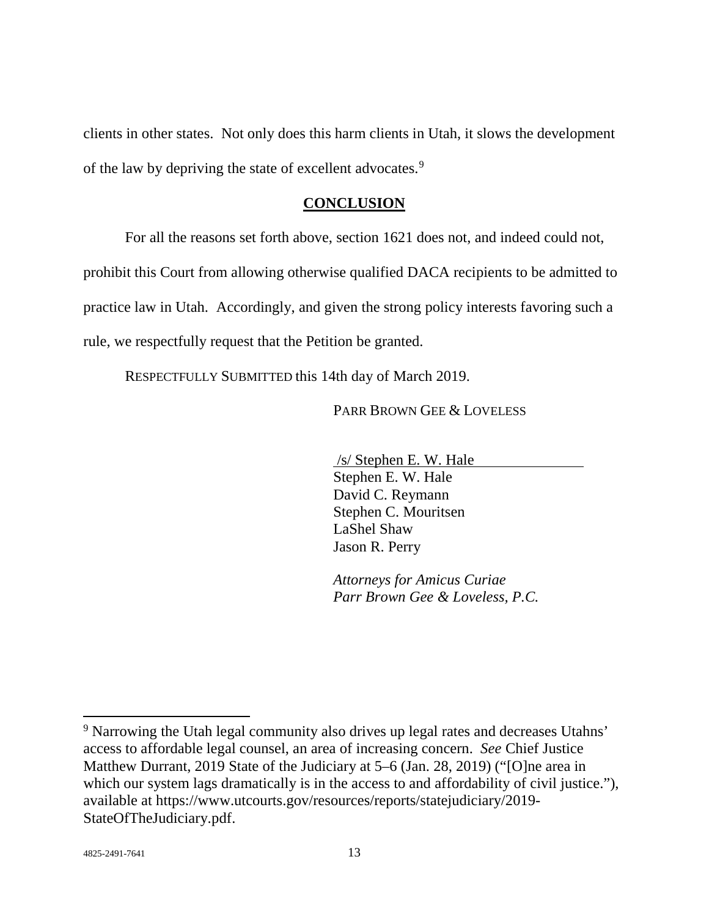clients in other states. Not only does this harm clients in Utah, it slows the development of the law by depriving the state of excellent advocates.9

#### **CONCLUSION**

For all the reasons set forth above, section 1621 does not, and indeed could not,

prohibit this Court from allowing otherwise qualified DACA recipients to be admitted to

practice law in Utah. Accordingly, and given the strong policy interests favoring such a

rule, we respectfully request that the Petition be granted.

RESPECTFULLY SUBMITTED this 14th day of March 2019.

PARR BROWN GEE & LOVELESS

/s/ Stephen E. W. Hale Stephen E. W. Hale David C. Reymann Stephen C. Mouritsen LaShel Shaw Jason R. Perry

*Attorneys for Amicus Curiae Parr Brown Gee & Loveless, P.C.*

 $\overline{\phantom{a}}$ 

<sup>9</sup> Narrowing the Utah legal community also drives up legal rates and decreases Utahns' access to affordable legal counsel, an area of increasing concern. *See* Chief Justice Matthew Durrant, 2019 State of the Judiciary at 5–6 (Jan. 28, 2019) ("[O]ne area in which our system lags dramatically is in the access to and affordability of civil justice."), available at https://www.utcourts.gov/resources/reports/statejudiciary/2019- StateOfTheJudiciary.pdf.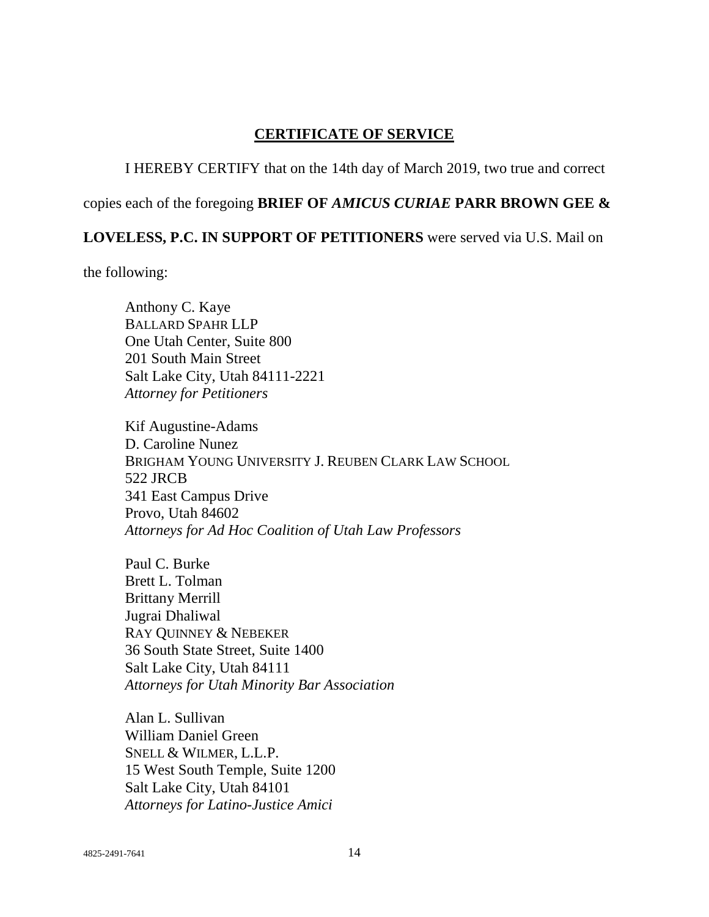## **CERTIFICATE OF SERVICE**

### I HEREBY CERTIFY that on the 14th day of March 2019, two true and correct

## copies each of the foregoing **BRIEF OF** *AMICUS CURIAE* **PARR BROWN GEE &**

## **LOVELESS, P.C. IN SUPPORT OF PETITIONERS** were served via U.S. Mail on

the following:

Anthony C. Kaye BALLARD SPAHR LLP One Utah Center, Suite 800 201 South Main Street Salt Lake City, Utah 84111-2221 *Attorney for Petitioners*

Kif Augustine-Adams D. Caroline Nunez BRIGHAM YOUNG UNIVERSITY J. REUBEN CLARK LAW SCHOOL 522 JRCB 341 East Campus Drive Provo, Utah 84602 *Attorneys for Ad Hoc Coalition of Utah Law Professors*

Paul C. Burke Brett L. Tolman Brittany Merrill Jugrai Dhaliwal RAY QUINNEY & NEBEKER 36 South State Street, Suite 1400 Salt Lake City, Utah 84111 *Attorneys for Utah Minority Bar Association*

Alan L. Sullivan William Daniel Green SNELL & WILMER, L.L.P. 15 West South Temple, Suite 1200 Salt Lake City, Utah 84101 *Attorneys for Latino-Justice Amici*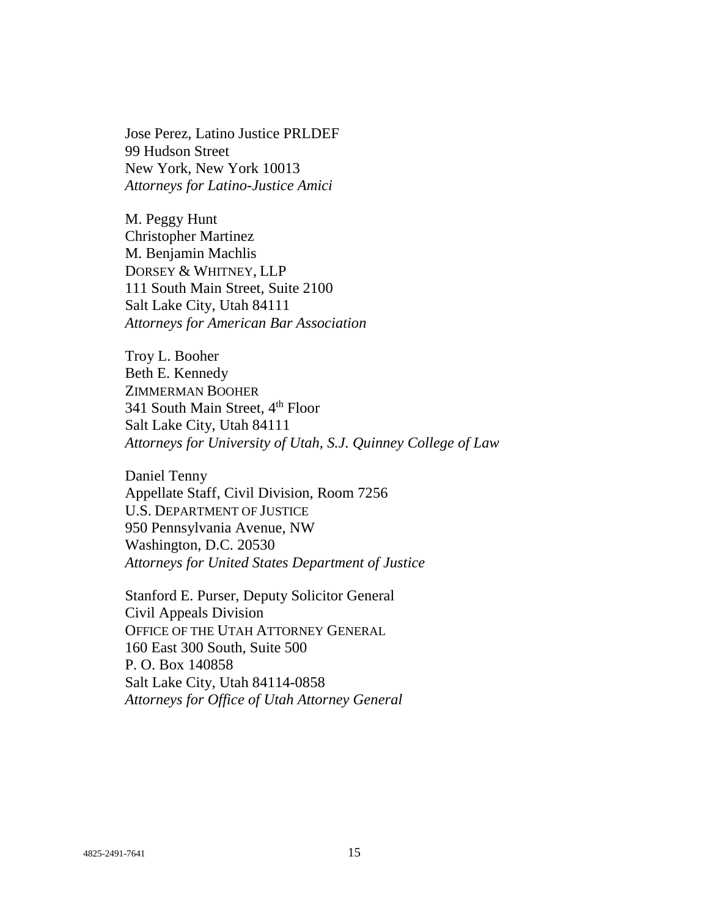Jose Perez, Latino Justice PRLDEF 99 Hudson Street New York, New York 10013 *Attorneys for Latino-Justice Amici*

M. Peggy Hunt Christopher Martinez M. Benjamin Machlis DORSEY & WHITNEY, LLP 111 South Main Street, Suite 2100 Salt Lake City, Utah 84111 *Attorneys for American Bar Association*

Troy L. Booher Beth E. Kennedy ZIMMERMAN BOOHER 341 South Main Street, 4<sup>th</sup> Floor Salt Lake City, Utah 84111 *Attorneys for University of Utah, S.J. Quinney College of Law*

Daniel Tenny Appellate Staff, Civil Division, Room 7256 U.S. DEPARTMENT OF JUSTICE 950 Pennsylvania Avenue, NW Washington, D.C. 20530 *Attorneys for United States Department of Justice*

Stanford E. Purser, Deputy Solicitor General Civil Appeals Division OFFICE OF THE UTAH ATTORNEY GENERAL 160 East 300 South, Suite 500 P. O. Box 140858 Salt Lake City, Utah 84114-0858 *Attorneys for Office of Utah Attorney General*